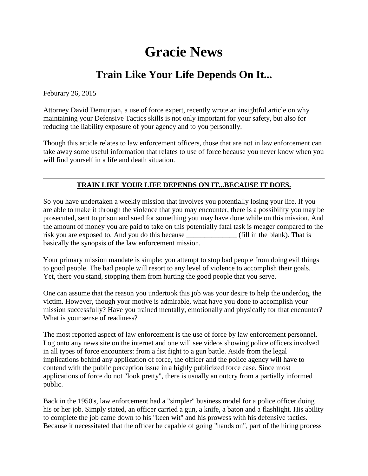## **Gracie News**

## **Train Like Your Life Depends On It...**

Feburary 26, 2015

Attorney David Demurjian, a use of force expert, recently wrote an insightful article on why maintaining your Defensive Tactics skills is not only important for your safety, but also for reducing the liability exposure of your agency and to you personally.

Though this article relates to law enforcement officers, those that are not in law enforcement can take away some useful information that relates to use of force because you never know when you will find yourself in a life and death situation.

## **TRAIN LIKE YOUR LIFE DEPENDS ON IT...BECAUSE IT DOES.**

So you have undertaken a weekly mission that involves you potentially losing your life. If you are able to make it through the violence that you may encounter, there is a possibility you may be prosecuted, sent to prison and sued for something you may have done while on this mission. And the amount of money you are paid to take on this potentially fatal task is meager compared to the risk you are exposed to. And you do this because (fill in the blank). That is basically the synopsis of the law enforcement mission.

Your primary mission mandate is simple: you attempt to stop bad people from doing evil things to good people. The bad people will resort to any level of violence to accomplish their goals. Yet, there you stand, stopping them from hurting the good people that you serve.

One can assume that the reason you undertook this job was your desire to help the underdog, the victim. However, though your motive is admirable, what have you done to accomplish your mission successfully? Have you trained mentally, emotionally and physically for that encounter? What is your sense of readiness?

The most reported aspect of law enforcement is the use of force by law enforcement personnel. Log onto any news site on the internet and one will see videos showing police officers involved in all types of force encounters: from a fist fight to a gun battle. Aside from the legal implications behind any application of force, the officer and the police agency will have to contend with the public perception issue in a highly publicized force case. Since most applications of force do not "look pretty", there is usually an outcry from a partially informed public.

Back in the 1950's, law enforcement had a "simpler" business model for a police officer doing his or her job. Simply stated, an officer carried a gun, a knife, a baton and a flashlight. His ability to complete the job came down to his "keen wit" and his prowess with his defensive tactics. Because it necessitated that the officer be capable of going "hands on", part of the hiring process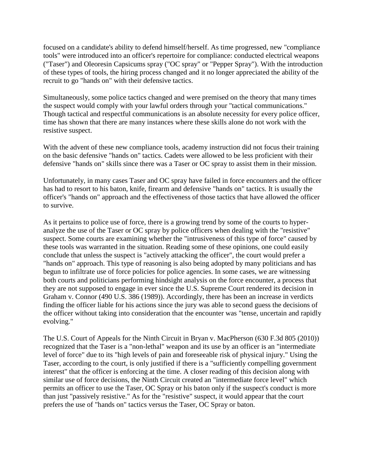focused on a candidate's ability to defend himself/herself. As time progressed, new "compliance tools" were introduced into an officer's repertoire for compliance: conducted electrical weapons ("Taser") and Oleoresin Capsicums spray ("OC spray" or "Pepper Spray"). With the introduction of these types of tools, the hiring process changed and it no longer appreciated the ability of the recruit to go "hands on" with their defensive tactics.

Simultaneously, some police tactics changed and were premised on the theory that many times the suspect would comply with your lawful orders through your "tactical communications." Though tactical and respectful communications is an absolute necessity for every police officer, time has shown that there are many instances where these skills alone do not work with the resistive suspect.

With the advent of these new compliance tools, academy instruction did not focus their training on the basic defensive "hands on" tactics. Cadets were allowed to be less proficient with their defensive "hands on" skills since there was a Taser or OC spray to assist them in their mission.

Unfortunately, in many cases Taser and OC spray have failed in force encounters and the officer has had to resort to his baton, knife, firearm and defensive "hands on" tactics. It is usually the officer's "hands on" approach and the effectiveness of those tactics that have allowed the officer to survive.

As it pertains to police use of force, there is a growing trend by some of the courts to hyperanalyze the use of the Taser or OC spray by police officers when dealing with the "resistive" suspect. Some courts are examining whether the "intrusiveness of this type of force" caused by these tools was warranted in the situation. Reading some of these opinions, one could easily conclude that unless the suspect is "actively attacking the officer", the court would prefer a "hands on" approach. This type of reasoning is also being adopted by many politicians and has begun to infiltrate use of force policies for police agencies. In some cases, we are witnessing both courts and politicians performing hindsight analysis on the force encounter, a process that they are not supposed to engage in ever since the U.S. Supreme Court rendered its decision in Graham v. Connor (490 U.S. 386 (1989)). Accordingly, there has been an increase in verdicts finding the officer liable for his actions since the jury was able to second guess the decisions of the officer without taking into consideration that the encounter was "tense, uncertain and rapidly evolving."

The U.S. Court of Appeals for the Ninth Circuit in Bryan v. MacPherson (630 F.3d 805 (2010)) recognized that the Taser is a "non-lethal" weapon and its use by an officer is an "intermediate level of force" due to its "high levels of pain and foreseeable risk of physical injury." Using the Taser, according to the court, is only justified if there is a "sufficiently compelling government interest" that the officer is enforcing at the time. A closer reading of this decision along with similar use of force decisions, the Ninth Circuit created an "intermediate force level" which permits an officer to use the Taser, OC Spray or his baton only if the suspect's conduct is more than just "passively resistive." As for the "resistive" suspect, it would appear that the court prefers the use of "hands on" tactics versus the Taser, OC Spray or baton.